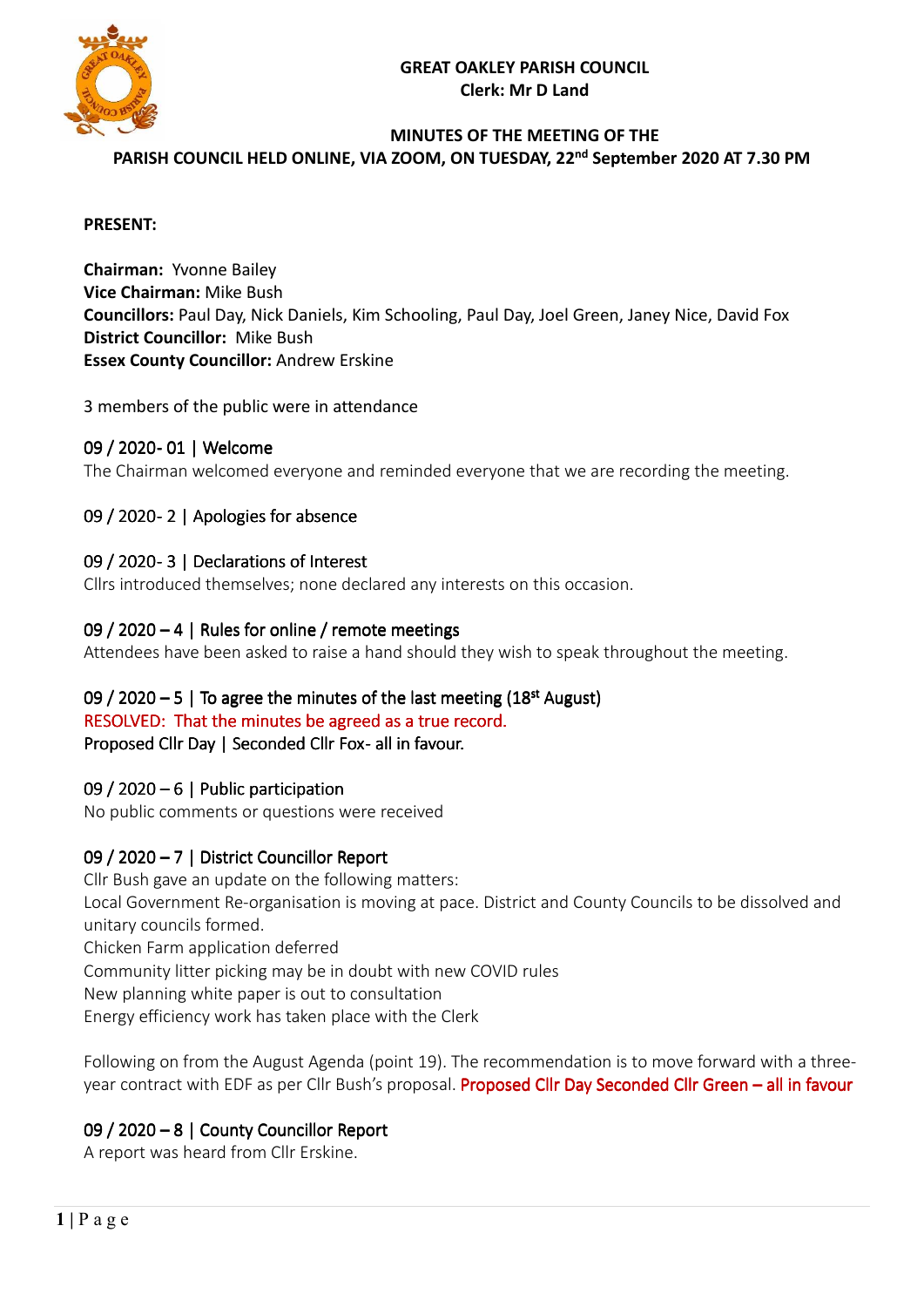# **GREAT OAKLEY PARISH COUNCIL Clerk: Mr D Land**



# **MINUTES OF THE MEETING OF THE**

PARISH COUNCIL HELD ONLINE, VIA ZOOM, ON TUESDAY, 22<sup>nd</sup> September 2020 AT 7.30 PM

#### **PRESENT:**

**Chairman:** Yvonne Bailey **Vice Chairman:** Mike Bush **Councillors:** Paul Day, Nick Daniels, Kim Schooling, Paul Day, Joel Green, Janey Nice, David Fox **District Councillor:** Mike Bush **Essex County Councillor:** Andrew Erskine

### 3 members of the public were in attendance

# 09 / 2020- 01 | Welcome

The Chairman welcomed everyone and reminded everyone that we are recording the meeting.

# 09 / 2020 - 2 | Apologies for absence

### 09 / 2020 - 3 | Declarations of Interest

Cllrs introduced themselves; none declared any interests on this occasion.

### 09 / 2020 – 4 | Rules for online / remote meetings

Attendees have been asked to raise a hand should they wish to speak throughout the meeting.

# 09 / 2020  $-5$  | To agree the minutes of the last meeting (18<sup>st</sup> August) RESOLVED: That the minutes be agreed as a true record.

Proposed Cllr Day | Seconded Cllr Fox-all in favour.

# 09 / 2020 – 6 | Public participation

No public comments or questions were received

# 09 / 2020 – 7 | District Councillor Report

Cllr Bush gave an update on the following matters: Local Government Re-organisation is moving at pace. District and County Councils to be dissolved and unitary councils formed.

Chicken Farm application deferred

Community litter picking may be in doubt with new COVID rules

New planning white paper is out to consultation

Energy efficiency work has taken place with the Clerk

Following on from the August Agenda (point 19). The recommendation is to move forward with a threeyear contract with EDF as per Cllr Bush's proposal. Proposed Cllr Day Seconded Cllr Green – all in favour

# 09 / 2020 – 8 | County Councillor Report

A report was heard from Cllr Erskine.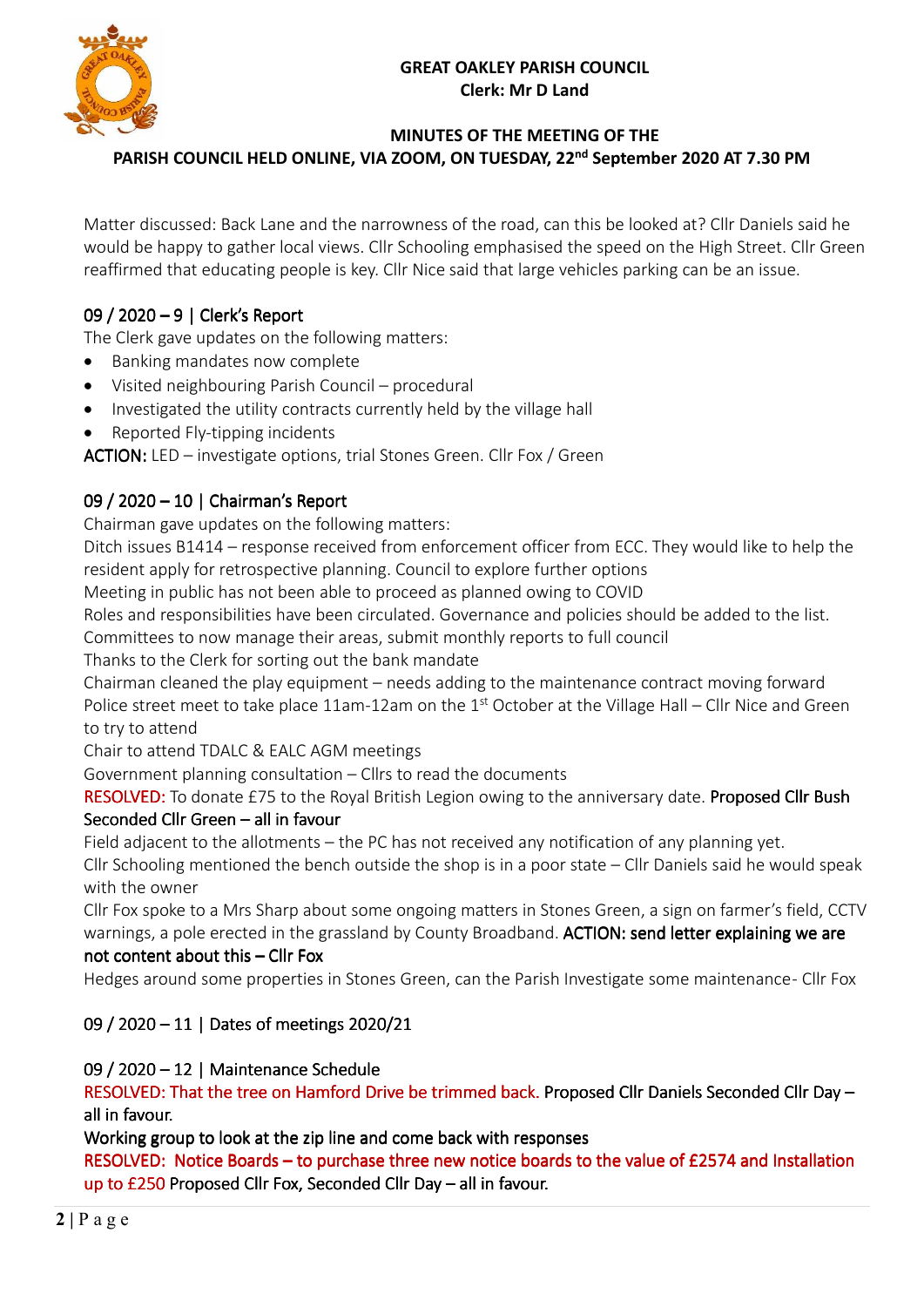# **GREAT OAKLEY PARISH COUNCIL Clerk: Mr D Land**



# **MINUTES OF THE MEETING OF THE**

PARISH COUNCIL HELD ONLINE, VIA ZOOM, ON TUESDAY, 22<sup>nd</sup> September 2020 AT 7.30 PM

Matter discussed: Back Lane and the narrowness of the road, can this be looked at? Cllr Daniels said he would be happy to gather local views. Cllr Schooling emphasised the speed on the High Street. Cllr Green reaffirmed that educating people is key. Cllr Nice said that large vehicles parking can be an issue.

# 09 / 2020 – 9 | Clerk's Report

The Clerk gave updates on the following matters:

- Banking mandates now complete
- Visited neighbouring Parish Council procedural
- Investigated the utility contracts currently held by the village hall
- Reported Fly-tipping incidents

ACTION: LED – investigate options, trial Stones Green. Cllr Fox / Green.

# 09 / 2020 – 10 | Chairman's Report

Chairman gave updates on the following matters:

Ditch issues B1414 – response received from enforcement officer from ECC. They would like to help the resident apply for retrospective planning. Council to explore further options

Meeting in public has not been able to proceed as planned owing to COVID

Roles and responsibilities have been circulated. Governance and policies should be added to the list.

Committees to now manage their areas, submit monthly reports to full council

Thanks to the Clerk for sorting out the bank mandate

Chairman cleaned the play equipment – needs adding to the maintenance contract moving forward Police street meet to take place 11am-12am on the 1st October at the Village Hall – Cllr Nice and Green to try to attend

Chair to attend TDALC & EALC AGM meetings

Government planning consultation – Cllrs to read the documents

RESOLVED: To donate £75 to the Royal British Legion owing to the anniversary date. Proposed Cllr Bush Seconded Cllr Green  $-$  all in favour

Field adjacent to the allotments – the PC has not received any notification of any planning yet. Cllr Schooling mentioned the bench outside the shop is in a poor state – Cllr Daniels said he would speak with the owner

Cllr Fox spoke to a Mrs Sharp about some ongoing matters in Stones Green, a sign on farmer's field, CCTV warnings, a pole erected in the grassland by County Broadband. ACTION: send letter explaining we are

# not content about this – Cllr Fox

Hedges around some properties in Stones Green, can the Parish Investigate some maintenance - Cllr Fox

# 09 / 2020 – 11 | Dates of meetings 2020/21

# 09 / 2020 – 12 | Maintenance Schedule

RESOLVED: That the tree on Hamford Drive be trimmed back. Proposed Cllr Daniels Seconded Cllr Day  $$ all in favour.

Working group to look at the zip line and come back with responses

RESOLVED: Notice Boards – to purchase three new notice boards to the value of  $£2574$  and Installation up to £250 Proposed Cllr Fox, Seconded Cllr Day – all in favour.